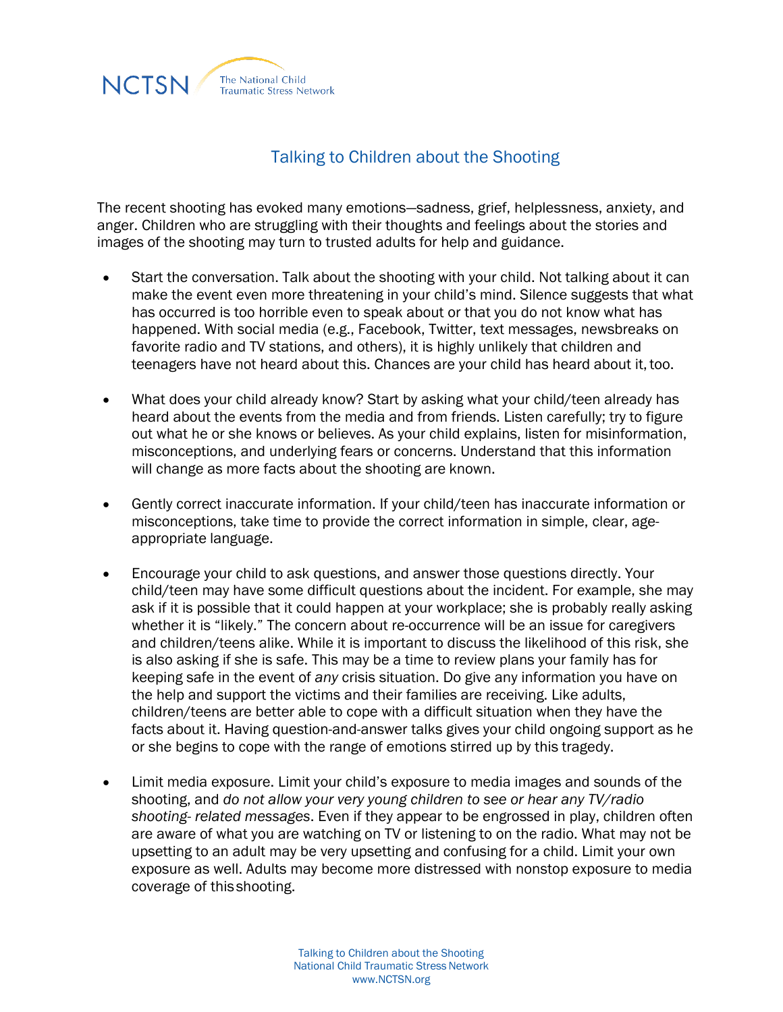

## Talking to Children about the Shooting

The recent shooting has evoked many emotions—sadness, grief, helplessness, anxiety, and anger. Children who are struggling with their thoughts and feelings about the stories and images of the shooting may turn to trusted adults for help and guidance.

- Start the conversation. Talk about the shooting with your child. Not talking about it can make the event even more threatening in your child's mind. Silence suggests that what has occurred is too horrible even to speak about or that you do not know what has happened. With social media (e.g., Facebook, Twitter, text messages, newsbreaks on favorite radio and TV stations, and others), it is highly unlikely that children and teenagers have not heard about this. Chances are your child has heard about it,too.
- What does your child already know? Start by asking what your child/teen already has heard about the events from the media and from friends. Listen carefully; try to figure out what he or she knows or believes. As your child explains, listen for misinformation, misconceptions, and underlying fears or concerns. Understand that this information will change as more facts about the shooting are known.
- Gently correct inaccurate information. If your child/teen has inaccurate information or misconceptions, take time to provide the correct information in simple, clear, ageappropriate language.
- Encourage your child to ask questions, and answer those questions directly. Your child/teen may have some difficult questions about the incident. For example, she may ask if it is possible that it could happen at your workplace; she is probably really asking whether it is "likely." The concern about re-occurrence will be an issue for caregivers and children/teens alike. While it is important to discuss the likelihood of this risk, she is also asking if she is safe. This may be a time to review plans your family has for keeping safe in the event of *any* crisis situation. Do give any information you have on the help and support the victims and their families are receiving. Like adults, children/teens are better able to cope with a difficult situation when they have the facts about it. Having question-and-answer talks gives your child ongoing support as he or she begins to cope with the range of emotions stirred up by this tragedy.
- Limit media exposure. Limit your child's exposure to media images and sounds of the shooting, and *do not allow your very young children to see or hear any TV/radio shooting- related messages*. Even if they appear to be engrossed in play, children often are aware of what you are watching on TV or listening to on the radio. What may not be upsetting to an adult may be very upsetting and confusing for a child. Limit your own exposure as well. Adults may become more distressed with nonstop exposure to media coverage of thisshooting.